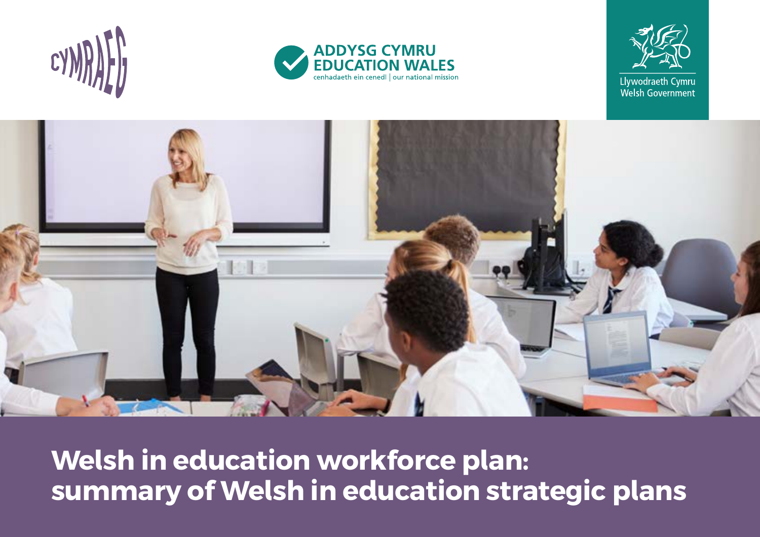







**Welsh in education workforce plan: summary of Welsh in education strategic plans**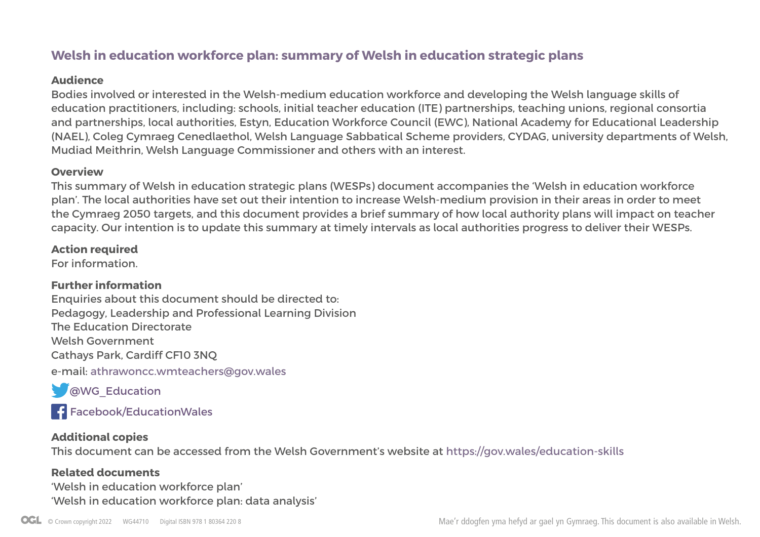## **Welsh in education workforce plan: summary of Welsh in education strategic plans**

#### **Audience**

Bodies involved or interested in the Welsh-medium education workforce and developing the Welsh language skills of education practitioners, including: schools, initial teacher education (ITE) partnerships, teaching unions, regional consortia and partnerships, local authorities, Estyn, Education Workforce Council (EWC), National Academy for Educational Leadership (NAEL), Coleg Cymraeg Cenedlaethol, Welsh Language Sabbatical Scheme providers, CYDAG, university departments of Welsh, Mudiad Meithrin, Welsh Language Commissioner and others with an interest.

#### **Overview**

This summary of Welsh in education strategic plans (WESPs) document accompanies the 'Welsh in education workforce plan'. The local authorities have set out their intention to increase Welsh-medium provision in their areas in order to meet the Cymraeg 2050 targets, and this document provides a brief summary of how local authority plans will impact on teacher capacity. Our intention is to update this summary at timely intervals as local authorities progress to deliver their WESPs.

#### **Action required**

For information.

### **Further information**

Enquiries about this document should be directed to: Pedagogy, Leadership and Professional Learning Division The Education Directorate Welsh Government Cathays Park, Cardiff CF10 3NQ e-mail: athrawoncc.wmteachers@gov.wales

**CO**WG Education

F[acebook/EducationWales](https://www.facebook.com/educationwales/)

#### **Additional copies**

This document can be accessed from the Welsh Government's website at<https://gov.wales/education-skills>

#### **Related documents**

'Welsh in education workforce plan' 'Welsh in education workforce plan: data analysis'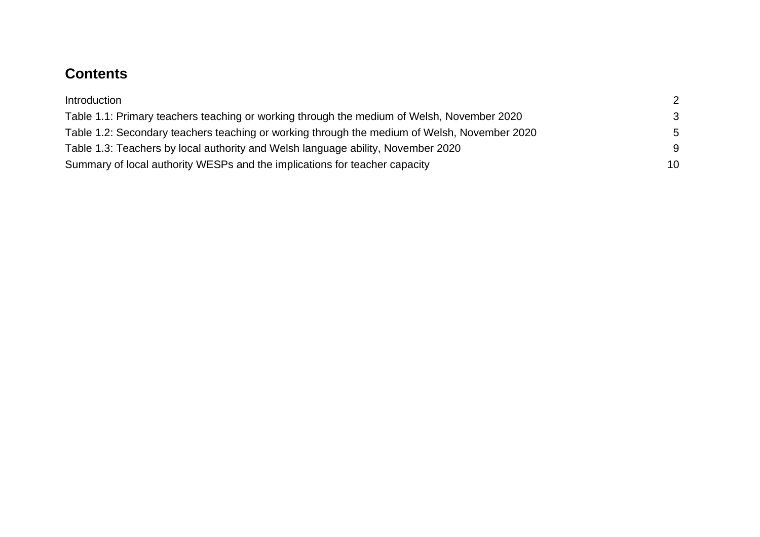## **Contents**

| Introduction                                                                                 | 2  |
|----------------------------------------------------------------------------------------------|----|
| Table 1.1: Primary teachers teaching or working through the medium of Welsh, November 2020   | -3 |
| Table 1.2: Secondary teachers teaching or working through the medium of Welsh, November 2020 | .5 |
| Table 1.3: Teachers by local authority and Welsh language ability, November 2020             | -9 |
| Summary of local authority WESPs and the implications for teacher capacity                   | 10 |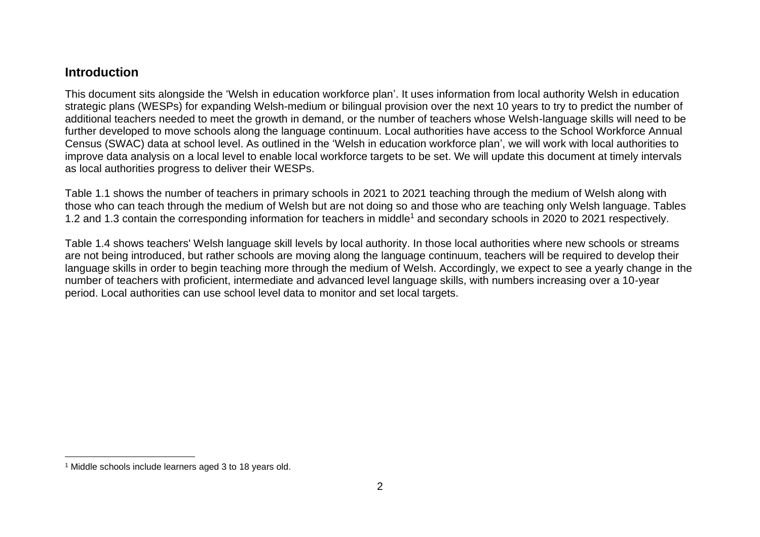### <span id="page-3-0"></span>**Introduction**

This document sits alongside the 'Welsh in education workforce plan'. It uses information from local authority Welsh in education strategic plans (WESPs) for expanding Welsh-medium or bilingual provision over the next 10 years to try to predict the number of additional teachers needed to meet the growth in demand, or the number of teachers whose Welsh-language skills will need to be further developed to move schools along the language continuum. Local authorities have access to the School Workforce Annual Census (SWAC) data at school level. As outlined in the 'Welsh in education workforce plan', we will work with local authorities to improve data analysis on a local level to enable local workforce targets to be set. We will update this document at timely intervals as local authorities progress to deliver their WESPs.

Table 1.1 shows the number of teachers in primary schools in 2021 to 2021 teaching through the medium of Welsh along with those who can teach through the medium of Welsh but are not doing so and those who are teaching only Welsh language. Tables 1.2 and 1.3 contain the corresponding information for teachers in middle<sup>1</sup> and secondary schools in 2020 to 2021 respectively.

Table 1.4 shows teachers' Welsh language skill levels by local authority. In those local authorities where new schools or streams are not being introduced, but rather schools are moving along the language continuum, teachers will be required to develop their language skills in order to begin teaching more through the medium of Welsh. Accordingly, we expect to see a yearly change in the number of teachers with proficient, intermediate and advanced level language skills, with numbers increasing over a 10-year period. Local authorities can use school level data to monitor and set local targets.

<sup>1</sup> Middle schools include learners aged 3 to 18 years old.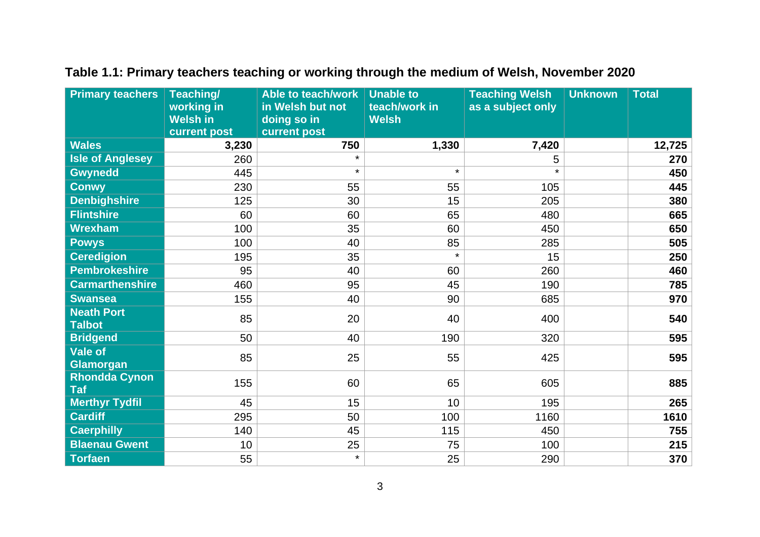| <b>Primary teachers</b>            | Teaching/<br>working in<br><b>Welsh in</b> | Able to teach/work<br>in Welsh but not<br>doing so in | <b>Unable to</b><br>teach/work in<br><b>Welsh</b> | <b>Teaching Welsh</b><br>as a subject only | <b>Unknown</b> | <b>Total</b> |
|------------------------------------|--------------------------------------------|-------------------------------------------------------|---------------------------------------------------|--------------------------------------------|----------------|--------------|
|                                    | current post                               | current post                                          |                                                   |                                            |                |              |
| <b>Wales</b>                       | 3,230                                      | 750                                                   | 1,330                                             | 7,420                                      |                | 12,725       |
| <b>Isle of Anglesey</b>            | 260                                        | $\star$                                               |                                                   | 5                                          |                | 270          |
| Gwynedd                            | 445                                        | $\star$                                               | $\star$                                           | $\star$                                    |                | 450          |
| <b>Conwy</b>                       | 230                                        | 55                                                    | 55                                                | 105                                        |                | 445          |
| <b>Denbighshire</b>                | 125                                        | 30                                                    | 15                                                | 205                                        |                | 380          |
| <b>Flintshire</b>                  | 60                                         | 60                                                    | 65                                                | 480                                        |                | 665          |
| <b>Wrexham</b>                     | 100                                        | 35                                                    | 60                                                | 450                                        |                | 650          |
| <b>Powys</b>                       | 100                                        | 40                                                    | 85                                                | 285                                        |                | 505          |
| <b>Ceredigion</b>                  | 195                                        | 35                                                    | $\star$                                           | 15                                         |                | 250          |
| <b>Pembrokeshire</b>               | 95                                         | 40                                                    | 60                                                | 260                                        |                | 460          |
| <b>Carmarthenshire</b>             | 460                                        | 95                                                    | 45                                                | 190                                        |                | 785          |
| <b>Swansea</b>                     | 155                                        | 40                                                    | 90                                                | 685                                        |                | 970          |
| <b>Neath Port</b><br><b>Talbot</b> | 85                                         | 20                                                    | 40                                                | 400                                        |                | 540          |
| <b>Bridgend</b>                    | 50                                         | 40                                                    | 190                                               | 320                                        |                | 595          |
| <b>Vale of</b><br><b>Glamorgan</b> | 85                                         | 25                                                    | 55                                                | 425                                        |                | 595          |
| <b>Rhondda Cynon</b><br><b>Taf</b> | 155                                        | 60                                                    | 65                                                | 605                                        |                | 885          |
| <b>Merthyr Tydfil</b>              | 45                                         | 15                                                    | 10                                                | 195                                        |                | 265          |
| <b>Cardiff</b>                     | 295                                        | 50                                                    | 100                                               | 1160                                       |                | 1610         |
| <b>Caerphilly</b>                  | 140                                        | 45                                                    | 115                                               | 450                                        |                | 755          |
| <b>Blaenau Gwent</b>               | 10                                         | 25                                                    | 75                                                | 100                                        |                | 215          |
| <b>Torfaen</b>                     | 55                                         | $\star$                                               | 25                                                | 290                                        |                | 370          |

## <span id="page-4-0"></span>**Table 1.1: Primary teachers teaching or working through the medium of Welsh, November 2020**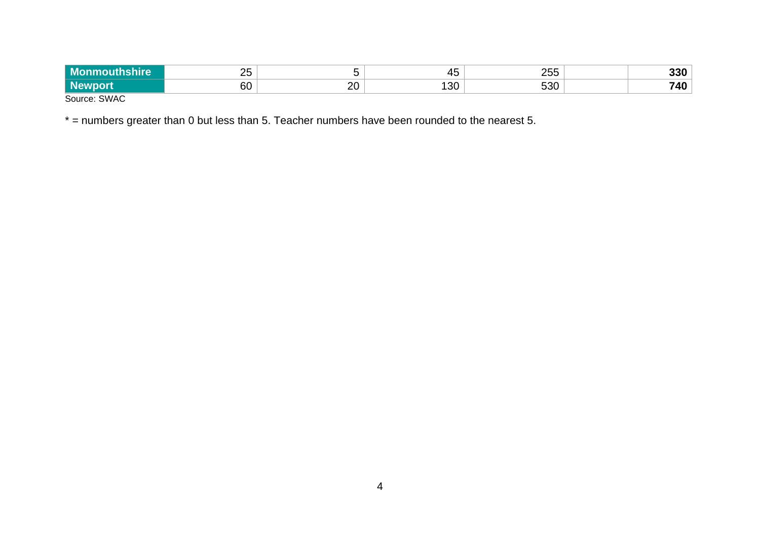| M <sub>c</sub> | $\sim$      |         | . .<br>՝      | $\mathbf{a} = \mathbf{b}$<br>$-$ v $\vee$ |  |
|----------------|-------------|---------|---------------|-------------------------------------------|--|
|                | $\sim$<br>ы | חר<br>∼ | ונ<br>יי<br>◡ | roc                                       |  |
| $\sim$         |             |         |               |                                           |  |

Source: SWAC

\* = numbers greater than 0 but less than 5. Teacher numbers have been rounded to the nearest 5.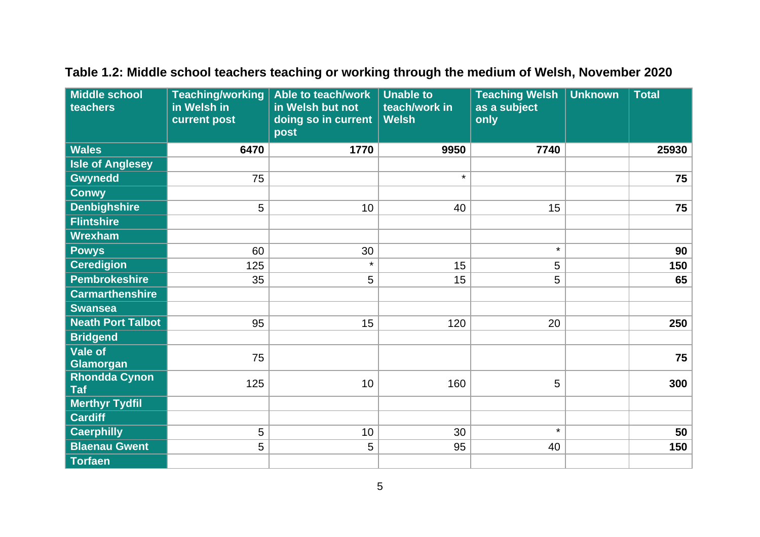| <b>Middle school</b><br>teachers   | <b>Teaching/working</b><br>in Welsh in<br>current post | Able to teach/work<br>in Welsh but not<br>doing so in current<br>post | <b>Unable to</b><br>teach/work in<br><b>Welsh</b> | <b>Teaching Welsh</b><br>as a subject<br>only | <b>Unknown</b> | <b>Total</b> |
|------------------------------------|--------------------------------------------------------|-----------------------------------------------------------------------|---------------------------------------------------|-----------------------------------------------|----------------|--------------|
| <b>Wales</b>                       | 6470                                                   | 1770                                                                  | 9950                                              | 7740                                          |                | 25930        |
| <b>Isle of Anglesey</b>            |                                                        |                                                                       |                                                   |                                               |                |              |
| <b>Gwynedd</b>                     | 75                                                     |                                                                       | $\star$                                           |                                               |                | 75           |
| <b>Conwy</b>                       |                                                        |                                                                       |                                                   |                                               |                |              |
| <b>Denbighshire</b>                | 5                                                      | 10                                                                    | 40                                                | 15                                            |                | 75           |
| <b>Flintshire</b>                  |                                                        |                                                                       |                                                   |                                               |                |              |
| <b>Wrexham</b>                     |                                                        |                                                                       |                                                   |                                               |                |              |
| <b>Powys</b>                       | 60                                                     | 30                                                                    |                                                   | $\star$                                       |                | 90           |
| <b>Ceredigion</b>                  | 125                                                    | $\star$                                                               | 15                                                | 5                                             |                | 150          |
| <b>Pembrokeshire</b>               | 35                                                     | 5                                                                     | 15                                                | 5                                             |                | 65           |
| <b>Carmarthenshire</b>             |                                                        |                                                                       |                                                   |                                               |                |              |
| <b>Swansea</b>                     |                                                        |                                                                       |                                                   |                                               |                |              |
| <b>Neath Port Talbot</b>           | 95                                                     | 15                                                                    | 120                                               | 20                                            |                | 250          |
| <b>Bridgend</b>                    |                                                        |                                                                       |                                                   |                                               |                |              |
| <b>Vale of</b><br>Glamorgan        | 75                                                     |                                                                       |                                                   |                                               |                | 75           |
| <b>Rhondda Cynon</b><br><b>Taf</b> | 125                                                    | 10                                                                    | 160                                               | 5                                             |                | 300          |
| <b>Merthyr Tydfil</b>              |                                                        |                                                                       |                                                   |                                               |                |              |
| <b>Cardiff</b>                     |                                                        |                                                                       |                                                   |                                               |                |              |
| <b>Caerphilly</b>                  | 5                                                      | 10                                                                    | 30                                                | $\star$                                       |                | 50           |
| <b>Blaenau Gwent</b>               | 5                                                      | 5                                                                     | 95                                                | 40                                            |                | 150          |
| <b>Torfaen</b>                     |                                                        |                                                                       |                                                   |                                               |                |              |

# <span id="page-6-0"></span>**Table 1.2: Middle school teachers teaching or working through the medium of Welsh, November 2020**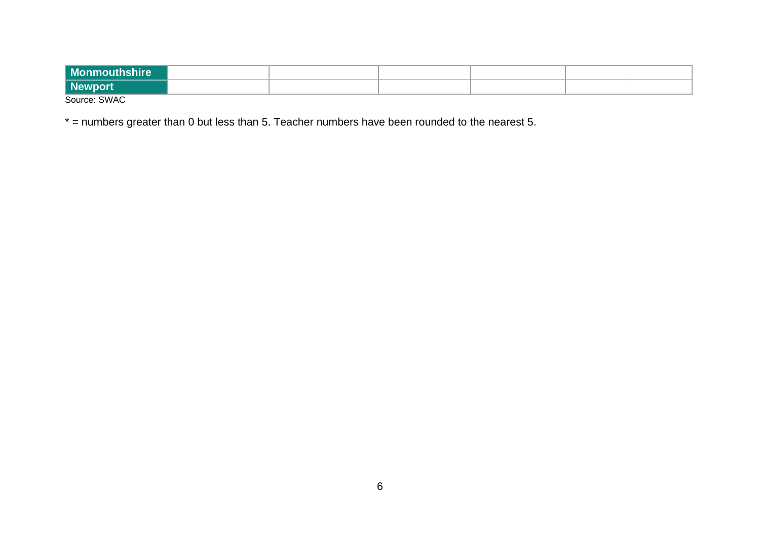| <b>Monmouthshire</b> |  |  |  |
|----------------------|--|--|--|
| Newport              |  |  |  |
| Source: SWAC         |  |  |  |

\* = numbers greater than 0 but less than 5. Teacher numbers have been rounded to the nearest 5.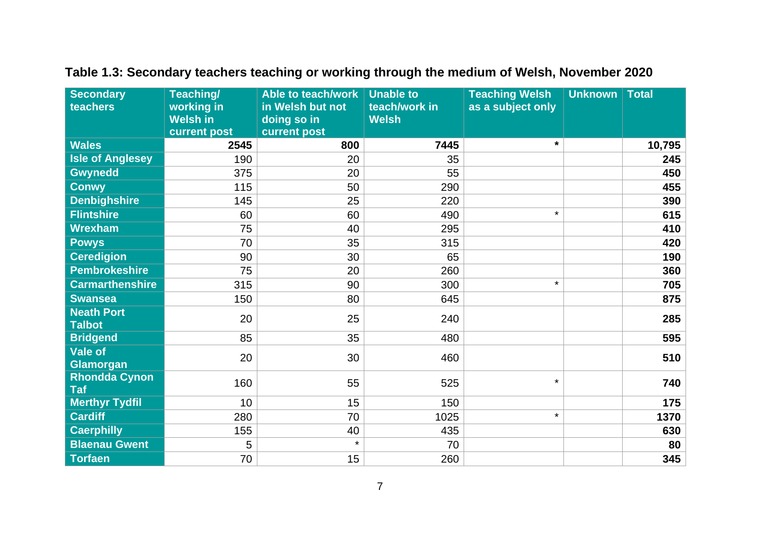| <b>Secondary</b>                   | Teaching/       | Able to teach/work | <b>Unable to</b> | <b>Teaching Welsh</b> | Unknown | <b>Total</b> |
|------------------------------------|-----------------|--------------------|------------------|-----------------------|---------|--------------|
| teachers                           | working in      | in Welsh but not   | teach/work in    | as a subject only     |         |              |
|                                    | <b>Welsh in</b> | doing so in        | <b>Welsh</b>     |                       |         |              |
|                                    | current post    | current post       |                  |                       |         |              |
| <b>Wales</b>                       | 2545            | 800                | 7445             | $\star$               |         | 10,795       |
| <b>Isle of Anglesey</b>            | 190             | 20                 | 35               |                       |         | 245          |
| <b>Gwynedd</b>                     | 375             | 20                 | 55               |                       |         | 450          |
| <b>Conwy</b>                       | 115             | 50                 | 290              |                       |         | 455          |
| <b>Denbighshire</b>                | 145             | 25                 | 220              |                       |         | 390          |
| <b>Flintshire</b>                  | 60              | 60                 | 490              | $\star$               |         | 615          |
| <b>Wrexham</b>                     | 75              | 40                 | 295              |                       |         | 410          |
| <b>Powys</b>                       | 70              | 35                 | 315              |                       |         | 420          |
| <b>Ceredigion</b>                  | 90              | 30                 | 65               |                       |         | 190          |
| <b>Pembrokeshire</b>               | 75              | 20                 | 260              |                       |         | 360          |
| <b>Carmarthenshire</b>             | 315             | 90                 | 300              | $\star$               |         | 705          |
| <b>Swansea</b>                     | 150             | 80                 | 645              |                       |         | 875          |
| <b>Neath Port</b><br><b>Talbot</b> | 20              | 25                 | 240              |                       |         | 285          |
| <b>Bridgend</b>                    | 85              | 35                 | 480              |                       |         | 595          |
| <b>Vale of</b><br><b>Glamorgan</b> | 20              | 30                 | 460              |                       |         | 510          |
| <b>Rhondda Cynon</b><br><b>Taf</b> | 160             | 55                 | 525              | $\star$               |         | 740          |
| <b>Merthyr Tydfil</b>              | 10              | 15                 | 150              |                       |         | 175          |
| <b>Cardiff</b>                     | 280             | 70                 | 1025             | $\star$               |         | 1370         |
| <b>Caerphilly</b>                  | 155             | 40                 | 435              |                       |         | 630          |
| <b>Blaenau Gwent</b>               | 5               | $\star$            | 70               |                       |         | 80           |
| <b>Torfaen</b>                     | 70              | 15                 | 260              |                       |         | 345          |

# **Table 1.3: Secondary teachers teaching or working through the medium of Welsh, November 2020**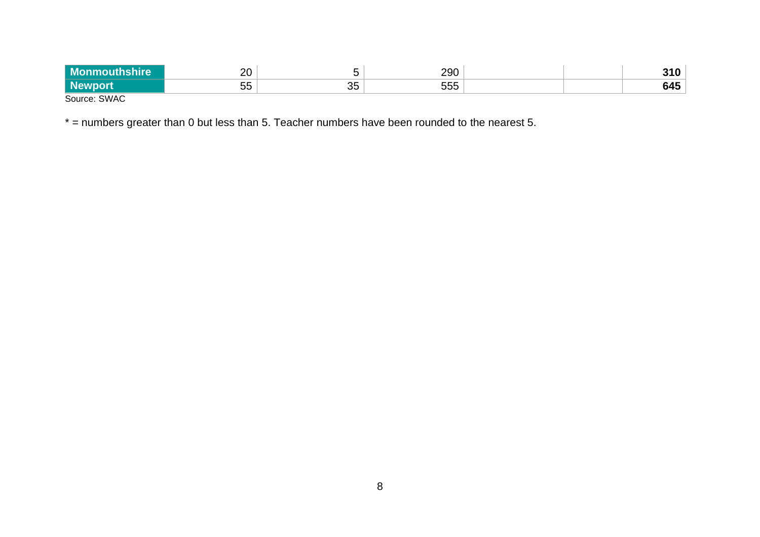| hire<br>- MC<br>ш | nn.<br>∠∪      |          | 290              |  | 240<br><br><b></b> |
|-------------------|----------------|----------|------------------|--|--------------------|
| י וט              | --<br>יי<br>◡◡ | つに<br>◡◡ | ---<br>nn<br>∪∪ບ |  | 645                |
| SWAC<br>Source:   |                |          |                  |  |                    |

\* = numbers greater than 0 but less than 5. Teacher numbers have been rounded to the nearest 5.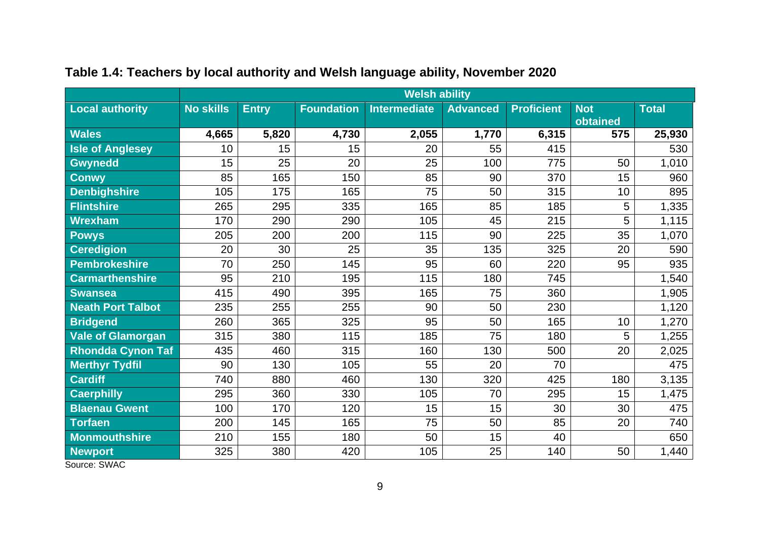|                          |                  | <b>Welsh ability</b> |                   |                     |                 |                   |            |              |
|--------------------------|------------------|----------------------|-------------------|---------------------|-----------------|-------------------|------------|--------------|
| <b>Local authority</b>   | <b>No skills</b> | <b>Entry</b>         | <b>Foundation</b> | <b>Intermediate</b> | <b>Advanced</b> | <b>Proficient</b> | <b>Not</b> | <b>Total</b> |
|                          |                  |                      |                   |                     |                 |                   | obtained   |              |
| <b>Wales</b>             | 4,665            | 5,820                | 4,730             | 2,055               | 1,770           | 6,315             | 575        | 25,930       |
| <b>Isle of Anglesey</b>  | 10               | 15                   | 15                | 20                  | 55              | 415               |            | 530          |
| Gwynedd                  | 15               | 25                   | 20                | 25                  | 100             | 775               | 50         | 1,010        |
| <b>Conwy</b>             | 85               | 165                  | 150               | 85                  | 90              | 370               | 15         | 960          |
| <b>Denbighshire</b>      | 105              | 175                  | 165               | 75                  | 50              | 315               | 10         | 895          |
| <b>Flintshire</b>        | 265              | 295                  | 335               | 165                 | 85              | 185               | 5          | 1,335        |
| Wrexham                  | 170              | 290                  | 290               | 105                 | 45              | 215               | 5          | 1,115        |
| <b>Powys</b>             | 205              | 200                  | 200               | 115                 | 90              | 225               | 35         | 1,070        |
| <b>Ceredigion</b>        | 20               | 30                   | 25                | 35                  | 135             | 325               | 20         | 590          |
| Pembrokeshire            | 70               | 250                  | 145               | 95                  | 60              | 220               | 95         | 935          |
| <b>Carmarthenshire</b>   | 95               | 210                  | 195               | 115                 | 180             | 745               |            | 1,540        |
| <b>Swansea</b>           | 415              | 490                  | 395               | 165                 | 75              | 360               |            | 1,905        |
| <b>Neath Port Talbot</b> | 235              | 255                  | 255               | 90                  | 50              | 230               |            | 1,120        |
| <b>Bridgend</b>          | 260              | 365                  | 325               | 95                  | 50              | 165               | 10         | 1,270        |
| Vale of Glamorgan        | 315              | 380                  | 115               | 185                 | 75              | 180               | 5          | 1,255        |
| <b>Rhondda Cynon Taf</b> | 435              | 460                  | 315               | 160                 | 130             | 500               | 20         | 2,025        |
| <b>Merthyr Tydfil</b>    | 90               | 130                  | 105               | 55                  | 20              | 70                |            | 475          |
| <b>Cardiff</b>           | 740              | 880                  | 460               | 130                 | 320             | 425               | 180        | 3,135        |
| <b>Caerphilly</b>        | 295              | 360                  | 330               | 105                 | 70              | 295               | 15         | 1,475        |
| <b>Blaenau Gwent</b>     | 100              | 170                  | 120               | 15                  | 15              | 30                | 30         | 475          |
| <b>Torfaen</b>           | 200              | 145                  | 165               | 75                  | 50              | 85                | 20         | 740          |
| <b>Monmouthshire</b>     | 210              | 155                  | 180               | 50                  | 15              | 40                |            | 650          |
| <b>Newport</b>           | 325              | 380                  | 420               | 105                 | 25              | 140               | 50         | 1,440        |

## <span id="page-10-0"></span>**Table 1.4: Teachers by local authority and Welsh language ability, November 2020**

Source: SWAC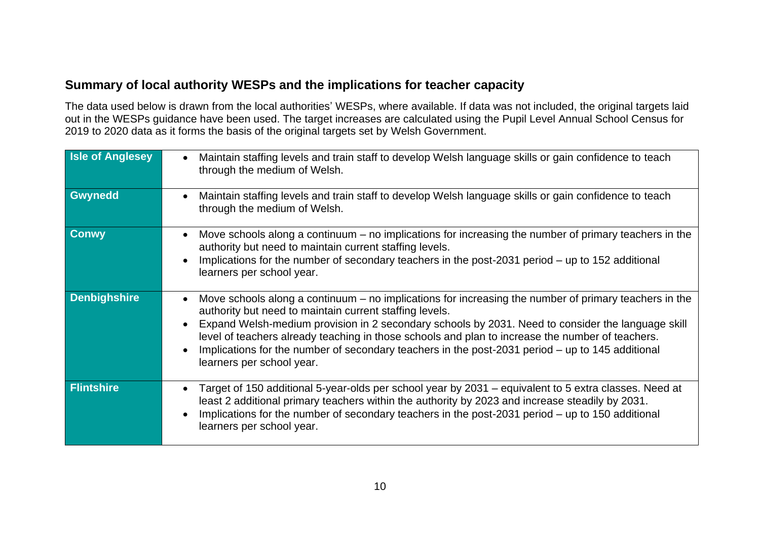## <span id="page-11-0"></span>**Summary of local authority WESPs and the implications for teacher capacity**

The data used below is drawn from the local authorities' WESPs, where available. If data was not included, the original targets laid out in the WESPs guidance have been used. The target increases are calculated using the Pupil Level Annual School Census for 2019 to 2020 data as it forms the basis of the original targets set by Welsh Government.

| <b>Isle of Anglesey</b> | Maintain staffing levels and train staff to develop Welsh language skills or gain confidence to teach<br>through the medium of Welsh.                                                                                                                                                                                                                                                                                                                                                                        |
|-------------------------|--------------------------------------------------------------------------------------------------------------------------------------------------------------------------------------------------------------------------------------------------------------------------------------------------------------------------------------------------------------------------------------------------------------------------------------------------------------------------------------------------------------|
| Gwynedd                 | Maintain staffing levels and train staff to develop Welsh language skills or gain confidence to teach<br>through the medium of Welsh.                                                                                                                                                                                                                                                                                                                                                                        |
| <b>Conwy</b>            | Move schools along a continuum $-$ no implications for increasing the number of primary teachers in the<br>authority but need to maintain current staffing levels.<br>Implications for the number of secondary teachers in the post-2031 period – up to 152 additional<br>learners per school year.                                                                                                                                                                                                          |
| <b>Denbighshire</b>     | Move schools along a continuum $-$ no implications for increasing the number of primary teachers in the<br>authority but need to maintain current staffing levels.<br>Expand Welsh-medium provision in 2 secondary schools by 2031. Need to consider the language skill<br>level of teachers already teaching in those schools and plan to increase the number of teachers.<br>Implications for the number of secondary teachers in the post-2031 period – up to 145 additional<br>learners per school year. |
| <b>Flintshire</b>       | Target of 150 additional 5-year-olds per school year by 2031 – equivalent to 5 extra classes. Need at<br>least 2 additional primary teachers within the authority by 2023 and increase steadily by 2031.<br>Implications for the number of secondary teachers in the post-2031 period – up to 150 additional<br>learners per school year.                                                                                                                                                                    |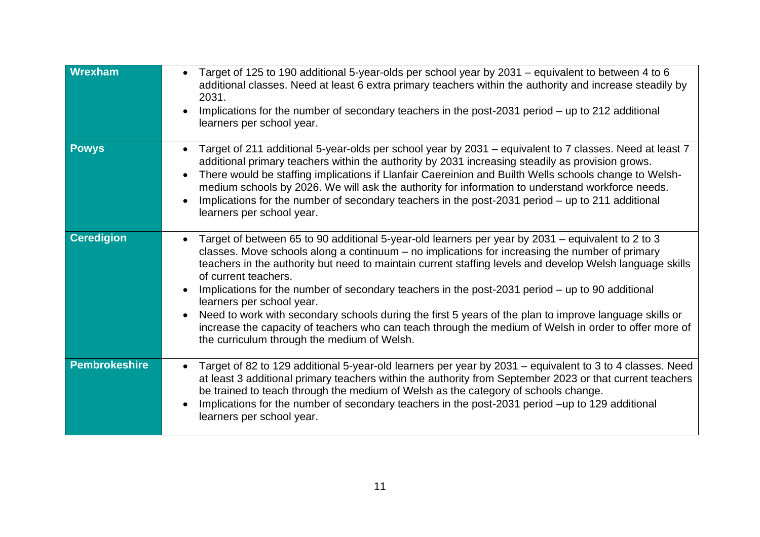| Wrexham           | Target of 125 to 190 additional 5-year-olds per school year by 2031 – equivalent to between 4 to 6<br>additional classes. Need at least 6 extra primary teachers within the authority and increase steadily by<br>2031.<br>Implications for the number of secondary teachers in the post-2031 period – up to 212 additional<br>learners per school year.                                                                                                                                                                                                                                                                                                                                                                                  |
|-------------------|-------------------------------------------------------------------------------------------------------------------------------------------------------------------------------------------------------------------------------------------------------------------------------------------------------------------------------------------------------------------------------------------------------------------------------------------------------------------------------------------------------------------------------------------------------------------------------------------------------------------------------------------------------------------------------------------------------------------------------------------|
| <b>Powys</b>      | Target of 211 additional 5-year-olds per school year by 2031 – equivalent to 7 classes. Need at least 7<br>additional primary teachers within the authority by 2031 increasing steadily as provision grows.<br>There would be staffing implications if Llanfair Caereinion and Builth Wells schools change to Welsh-<br>medium schools by 2026. We will ask the authority for information to understand workforce needs.<br>Implications for the number of secondary teachers in the post-2031 period – up to 211 additional<br>learners per school year.                                                                                                                                                                                 |
| <b>Ceredigion</b> | Target of between 65 to 90 additional 5-year-old learners per year by 2031 – equivalent to 2 to 3<br>classes. Move schools along a continuum – no implications for increasing the number of primary<br>teachers in the authority but need to maintain current staffing levels and develop Welsh language skills<br>of current teachers.<br>Implications for the number of secondary teachers in the post-2031 period – up to 90 additional<br>learners per school year.<br>Need to work with secondary schools during the first 5 years of the plan to improve language skills or<br>increase the capacity of teachers who can teach through the medium of Welsh in order to offer more of<br>the curriculum through the medium of Welsh. |
| Pembrokeshire     | Target of 82 to 129 additional 5-year-old learners per year by 2031 – equivalent to 3 to 4 classes. Need<br>at least 3 additional primary teachers within the authority from September 2023 or that current teachers<br>be trained to teach through the medium of Welsh as the category of schools change.<br>Implications for the number of secondary teachers in the post-2031 period -up to 129 additional<br>learners per school year.                                                                                                                                                                                                                                                                                                |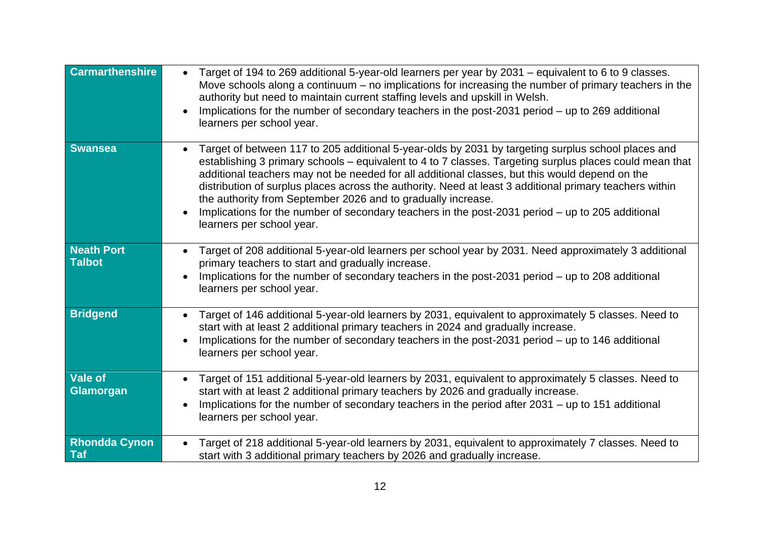| <b>Carmarthenshire</b>             | Target of 194 to 269 additional 5-year-old learners per year by 2031 – equivalent to 6 to 9 classes.<br>Move schools along a continuum $-$ no implications for increasing the number of primary teachers in the<br>authority but need to maintain current staffing levels and upskill in Welsh.<br>Implications for the number of secondary teachers in the post-2031 period – up to 269 additional<br>learners per school year.                                                                                                                                                                                            |
|------------------------------------|-----------------------------------------------------------------------------------------------------------------------------------------------------------------------------------------------------------------------------------------------------------------------------------------------------------------------------------------------------------------------------------------------------------------------------------------------------------------------------------------------------------------------------------------------------------------------------------------------------------------------------|
| <b>Swansea</b>                     | Target of between 117 to 205 additional 5-year-olds by 2031 by targeting surplus school places and<br>establishing 3 primary schools – equivalent to 4 to 7 classes. Targeting surplus places could mean that<br>additional teachers may not be needed for all additional classes, but this would depend on the<br>distribution of surplus places across the authority. Need at least 3 additional primary teachers within<br>the authority from September 2026 and to gradually increase.<br>Implications for the number of secondary teachers in the post-2031 period – up to 205 additional<br>learners per school year. |
| <b>Neath Port</b><br><b>Talbot</b> | Target of 208 additional 5-year-old learners per school year by 2031. Need approximately 3 additional<br>primary teachers to start and gradually increase.<br>Implications for the number of secondary teachers in the post-2031 period – up to 208 additional<br>learners per school year.                                                                                                                                                                                                                                                                                                                                 |
| <b>Bridgend</b>                    | Target of 146 additional 5-year-old learners by 2031, equivalent to approximately 5 classes. Need to<br>start with at least 2 additional primary teachers in 2024 and gradually increase.<br>Implications for the number of secondary teachers in the post-2031 period – up to 146 additional<br>learners per school year.                                                                                                                                                                                                                                                                                                  |
| <b>Vale of</b><br><b>Glamorgan</b> | Target of 151 additional 5-year-old learners by 2031, equivalent to approximately 5 classes. Need to<br>start with at least 2 additional primary teachers by 2026 and gradually increase.<br>Implications for the number of secondary teachers in the period after 2031 – up to 151 additional<br>learners per school year.                                                                                                                                                                                                                                                                                                 |
| <b>Rhondda Cynon</b><br>Taf        | Target of 218 additional 5-year-old learners by 2031, equivalent to approximately 7 classes. Need to<br>start with 3 additional primary teachers by 2026 and gradually increase.                                                                                                                                                                                                                                                                                                                                                                                                                                            |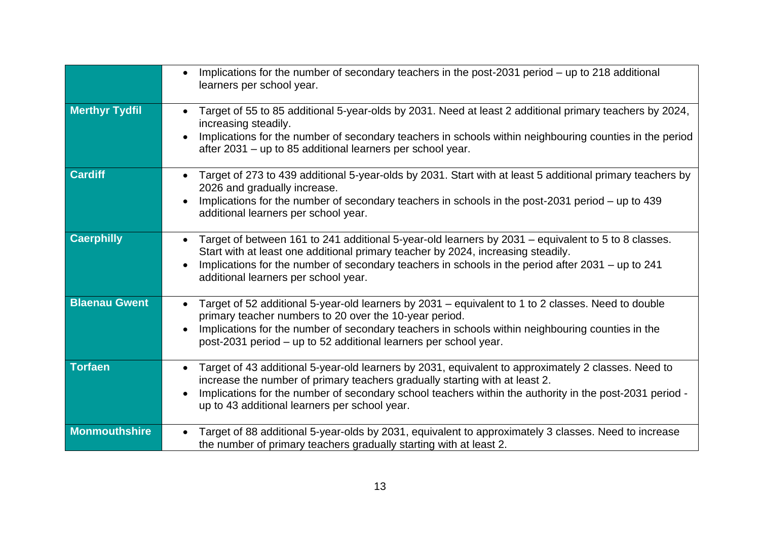|                       | Implications for the number of secondary teachers in the post-2031 period – up to 218 additional<br>learners per school year.                                                                                                                                                                                                                  |
|-----------------------|------------------------------------------------------------------------------------------------------------------------------------------------------------------------------------------------------------------------------------------------------------------------------------------------------------------------------------------------|
| <b>Merthyr Tydfil</b> | Target of 55 to 85 additional 5-year-olds by 2031. Need at least 2 additional primary teachers by 2024,<br>increasing steadily.<br>Implications for the number of secondary teachers in schools within neighbouring counties in the period<br>after 2031 – up to 85 additional learners per school year.                                       |
| <b>Cardiff</b>        | Target of 273 to 439 additional 5-year-olds by 2031. Start with at least 5 additional primary teachers by<br>2026 and gradually increase.<br>Implications for the number of secondary teachers in schools in the post-2031 period – up to 439<br>additional learners per school year.                                                          |
| <b>Caerphilly</b>     | Target of between 161 to 241 additional 5-year-old learners by 2031 – equivalent to 5 to 8 classes.<br>Start with at least one additional primary teacher by 2024, increasing steadily.<br>Implications for the number of secondary teachers in schools in the period after 2031 – up to 241<br>additional learners per school year.           |
| <b>Blaenau Gwent</b>  | Target of 52 additional 5-year-old learners by 2031 – equivalent to 1 to 2 classes. Need to double<br>primary teacher numbers to 20 over the 10-year period.<br>Implications for the number of secondary teachers in schools within neighbouring counties in the<br>post-2031 period - up to 52 additional learners per school year.           |
| <b>Torfaen</b>        | Target of 43 additional 5-year-old learners by 2031, equivalent to approximately 2 classes. Need to<br>increase the number of primary teachers gradually starting with at least 2.<br>Implications for the number of secondary school teachers within the authority in the post-2031 period -<br>up to 43 additional learners per school year. |
| Monmouthshire         | Target of 88 additional 5-year-olds by 2031, equivalent to approximately 3 classes. Need to increase<br>the number of primary teachers gradually starting with at least 2.                                                                                                                                                                     |